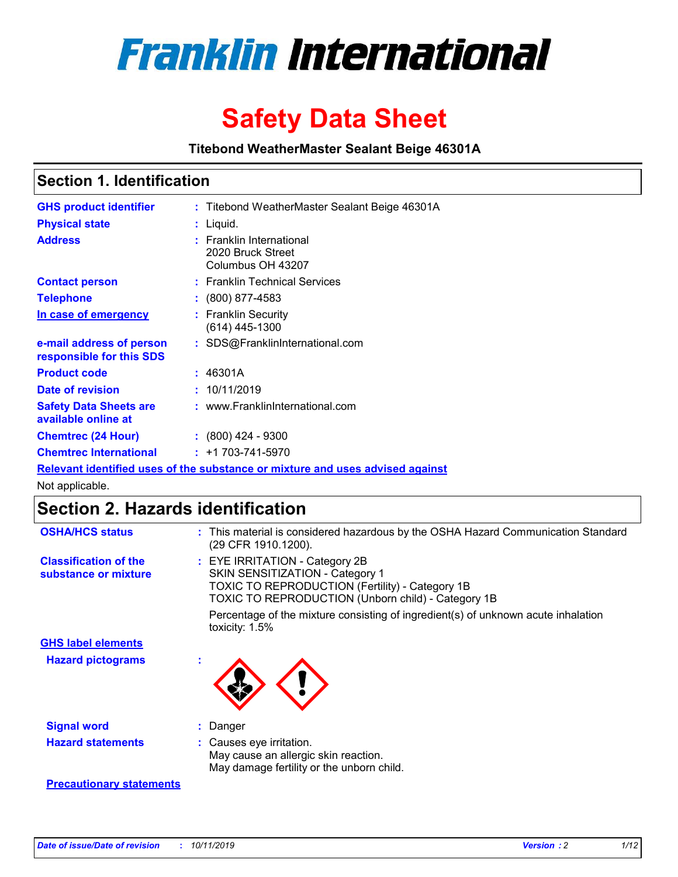

# **Safety Data Sheet**

**Titebond WeatherMaster Sealant Beige 46301A**

### **Section 1. Identification**

| <b>GHS product identifier</b>                        | : Titebond WeatherMaster Sealant Beige 46301A                                 |
|------------------------------------------------------|-------------------------------------------------------------------------------|
| <b>Physical state</b>                                | : Liquid.                                                                     |
| <b>Address</b>                                       | : Franklin International<br>2020 Bruck Street<br>Columbus OH 43207            |
| <b>Contact person</b>                                | : Franklin Technical Services                                                 |
| <b>Telephone</b>                                     | : (800) 877-4583                                                              |
| In case of emergency                                 | : Franklin Security<br>$(614)$ 445-1300                                       |
| e-mail address of person<br>responsible for this SDS | : SDS@FranklinInternational.com                                               |
| <b>Product code</b>                                  | : 46301A                                                                      |
| Date of revision                                     | : 10/11/2019                                                                  |
| <b>Safety Data Sheets are</b><br>available online at | : www.FranklinInternational.com                                               |
| <b>Chemtrec (24 Hour)</b>                            | $\div$ (800) 424 - 9300                                                       |
| <b>Chemtrec International</b>                        | $: +1703 - 741 - 5970$                                                        |
|                                                      | Relevant identified uses of the substance or mixture and uses advised against |

Not applicable.

### **Section 2. Hazards identification**

| <b>OSHA/HCS status</b>                               | : This material is considered hazardous by the OSHA Hazard Communication Standard<br>(29 CFR 1910.1200).                                                                   |
|------------------------------------------------------|----------------------------------------------------------------------------------------------------------------------------------------------------------------------------|
| <b>Classification of the</b><br>substance or mixture | : EYE IRRITATION - Category 2B<br>SKIN SENSITIZATION - Category 1<br>TOXIC TO REPRODUCTION (Fertility) - Category 1B<br>TOXIC TO REPRODUCTION (Unborn child) - Category 1B |
|                                                      | Percentage of the mixture consisting of ingredient(s) of unknown acute inhalation<br>toxicity: 1.5%                                                                        |
| <b>GHS label elements</b>                            |                                                                                                                                                                            |
| <b>Hazard pictograms</b>                             |                                                                                                                                                                            |
| <b>Signal word</b>                                   | : Danger                                                                                                                                                                   |
| <b>Hazard statements</b>                             | : Causes eye irritation.<br>May cause an allergic skin reaction.<br>May damage fertility or the unborn child.                                                              |
| <b>Precautionary statements</b>                      |                                                                                                                                                                            |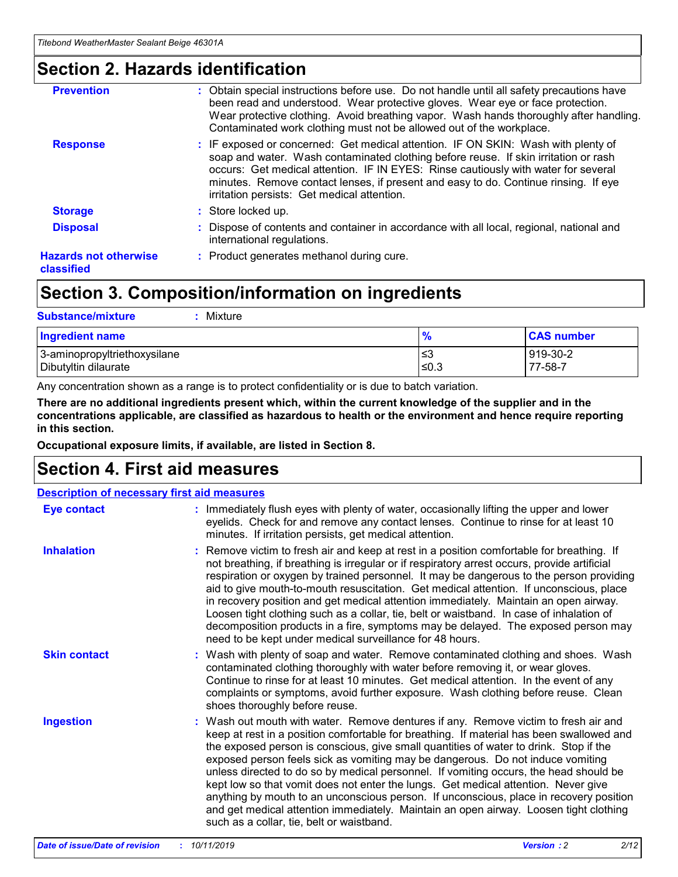### **Section 2. Hazards identification**

| <b>Prevention</b>                          | : Obtain special instructions before use. Do not handle until all safety precautions have<br>been read and understood. Wear protective gloves. Wear eye or face protection.<br>Wear protective clothing. Avoid breathing vapor. Wash hands thoroughly after handling.<br>Contaminated work clothing must not be allowed out of the workplace.                                                        |
|--------------------------------------------|------------------------------------------------------------------------------------------------------------------------------------------------------------------------------------------------------------------------------------------------------------------------------------------------------------------------------------------------------------------------------------------------------|
| <b>Response</b>                            | : IF exposed or concerned: Get medical attention. IF ON SKIN: Wash with plenty of<br>soap and water. Wash contaminated clothing before reuse. If skin irritation or rash<br>occurs: Get medical attention. IF IN EYES: Rinse cautiously with water for several<br>minutes. Remove contact lenses, if present and easy to do. Continue rinsing. If eye<br>irritation persists: Get medical attention. |
| <b>Storage</b>                             | : Store locked up.                                                                                                                                                                                                                                                                                                                                                                                   |
| <b>Disposal</b>                            | : Dispose of contents and container in accordance with all local, regional, national and<br>international regulations.                                                                                                                                                                                                                                                                               |
| <b>Hazards not otherwise</b><br>classified | : Product generates methanol during cure.                                                                                                                                                                                                                                                                                                                                                            |
|                                            |                                                                                                                                                                                                                                                                                                                                                                                                      |

## **Section 3. Composition/information on ingredients**

| <b>Substance/mixture</b><br>Mixture                  |                   |                     |
|------------------------------------------------------|-------------------|---------------------|
| <b>Ingredient name</b>                               | $\frac{9}{6}$     | <b>CAS number</b>   |
| 3-aminopropyltriethoxysilane<br>Dibutyltin dilaurate | l≤3<br>$\leq 0.3$ | 919-30-2<br>77-58-7 |

Any concentration shown as a range is to protect confidentiality or is due to batch variation.

**There are no additional ingredients present which, within the current knowledge of the supplier and in the concentrations applicable, are classified as hazardous to health or the environment and hence require reporting in this section.**

**Occupational exposure limits, if available, are listed in Section 8.**

### **Section 4. First aid measures**

| <b>Description of necessary first aid measures</b> |                                                                                                                                                                                                                                                                                                                                                                                                                                                                                                                                                                                                                                                                                                                                                                           |  |  |  |
|----------------------------------------------------|---------------------------------------------------------------------------------------------------------------------------------------------------------------------------------------------------------------------------------------------------------------------------------------------------------------------------------------------------------------------------------------------------------------------------------------------------------------------------------------------------------------------------------------------------------------------------------------------------------------------------------------------------------------------------------------------------------------------------------------------------------------------------|--|--|--|
| <b>Eye contact</b>                                 | : Immediately flush eyes with plenty of water, occasionally lifting the upper and lower<br>eyelids. Check for and remove any contact lenses. Continue to rinse for at least 10<br>minutes. If irritation persists, get medical attention.                                                                                                                                                                                                                                                                                                                                                                                                                                                                                                                                 |  |  |  |
| <b>Inhalation</b>                                  | : Remove victim to fresh air and keep at rest in a position comfortable for breathing. If<br>not breathing, if breathing is irregular or if respiratory arrest occurs, provide artificial<br>respiration or oxygen by trained personnel. It may be dangerous to the person providing<br>aid to give mouth-to-mouth resuscitation. Get medical attention. If unconscious, place<br>in recovery position and get medical attention immediately. Maintain an open airway.<br>Loosen tight clothing such as a collar, tie, belt or waistband. In case of inhalation of<br>decomposition products in a fire, symptoms may be delayed. The exposed person may<br>need to be kept under medical surveillance for 48 hours.                                                       |  |  |  |
| <b>Skin contact</b>                                | : Wash with plenty of soap and water. Remove contaminated clothing and shoes. Wash<br>contaminated clothing thoroughly with water before removing it, or wear gloves.<br>Continue to rinse for at least 10 minutes. Get medical attention. In the event of any<br>complaints or symptoms, avoid further exposure. Wash clothing before reuse. Clean<br>shoes thoroughly before reuse.                                                                                                                                                                                                                                                                                                                                                                                     |  |  |  |
| <b>Ingestion</b>                                   | : Wash out mouth with water. Remove dentures if any. Remove victim to fresh air and<br>keep at rest in a position comfortable for breathing. If material has been swallowed and<br>the exposed person is conscious, give small quantities of water to drink. Stop if the<br>exposed person feels sick as vomiting may be dangerous. Do not induce vomiting<br>unless directed to do so by medical personnel. If vomiting occurs, the head should be<br>kept low so that vomit does not enter the lungs. Get medical attention. Never give<br>anything by mouth to an unconscious person. If unconscious, place in recovery position<br>and get medical attention immediately. Maintain an open airway. Loosen tight clothing<br>such as a collar, tie, belt or waistband. |  |  |  |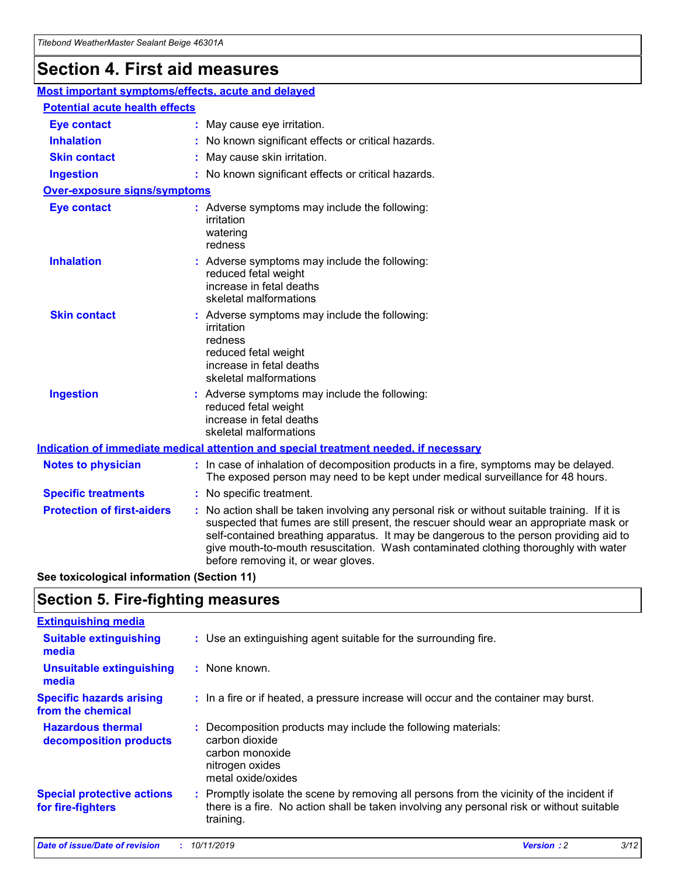## **Section 4. First aid measures**

| Most important symptoms/effects, acute and delayed |                                       |                                                                                                                                                                                                                                                                                                                                                                                                                 |  |  |  |
|----------------------------------------------------|---------------------------------------|-----------------------------------------------------------------------------------------------------------------------------------------------------------------------------------------------------------------------------------------------------------------------------------------------------------------------------------------------------------------------------------------------------------------|--|--|--|
|                                                    | <b>Potential acute health effects</b> |                                                                                                                                                                                                                                                                                                                                                                                                                 |  |  |  |
| <b>Eye contact</b>                                 |                                       | : May cause eye irritation.                                                                                                                                                                                                                                                                                                                                                                                     |  |  |  |
| <b>Inhalation</b>                                  |                                       | : No known significant effects or critical hazards.                                                                                                                                                                                                                                                                                                                                                             |  |  |  |
| <b>Skin contact</b>                                |                                       | : May cause skin irritation.                                                                                                                                                                                                                                                                                                                                                                                    |  |  |  |
| <b>Ingestion</b>                                   |                                       | : No known significant effects or critical hazards.                                                                                                                                                                                                                                                                                                                                                             |  |  |  |
| <b>Over-exposure signs/symptoms</b>                |                                       |                                                                                                                                                                                                                                                                                                                                                                                                                 |  |  |  |
| <b>Eye contact</b>                                 |                                       | : Adverse symptoms may include the following:<br>irritation<br>watering<br>redness                                                                                                                                                                                                                                                                                                                              |  |  |  |
| <b>Inhalation</b>                                  |                                       | : Adverse symptoms may include the following:<br>reduced fetal weight<br>increase in fetal deaths<br>skeletal malformations                                                                                                                                                                                                                                                                                     |  |  |  |
| <b>Skin contact</b>                                |                                       | : Adverse symptoms may include the following:<br>irritation<br>redness<br>reduced fetal weight<br>increase in fetal deaths<br>skeletal malformations                                                                                                                                                                                                                                                            |  |  |  |
| <b>Ingestion</b>                                   |                                       | : Adverse symptoms may include the following:<br>reduced fetal weight<br>increase in fetal deaths<br>skeletal malformations                                                                                                                                                                                                                                                                                     |  |  |  |
|                                                    |                                       | <b>Indication of immediate medical attention and special treatment needed, if necessary</b>                                                                                                                                                                                                                                                                                                                     |  |  |  |
| <b>Notes to physician</b>                          |                                       | : In case of inhalation of decomposition products in a fire, symptoms may be delayed.<br>The exposed person may need to be kept under medical surveillance for 48 hours.                                                                                                                                                                                                                                        |  |  |  |
| <b>Specific treatments</b>                         |                                       | : No specific treatment.                                                                                                                                                                                                                                                                                                                                                                                        |  |  |  |
| <b>Protection of first-aiders</b>                  |                                       | : No action shall be taken involving any personal risk or without suitable training. If it is<br>suspected that fumes are still present, the rescuer should wear an appropriate mask or<br>self-contained breathing apparatus. It may be dangerous to the person providing aid to<br>give mouth-to-mouth resuscitation. Wash contaminated clothing thoroughly with water<br>before removing it, or wear gloves. |  |  |  |

**See toxicological information (Section 11)**

### **Section 5. Fire-fighting measures**

| <b>Extinguishing media</b>                             |                                                                                                                                                                                                     |
|--------------------------------------------------------|-----------------------------------------------------------------------------------------------------------------------------------------------------------------------------------------------------|
| <b>Suitable extinguishing</b><br>media                 | : Use an extinguishing agent suitable for the surrounding fire.                                                                                                                                     |
| <b>Unsuitable extinguishing</b><br>media               | $:$ None known.                                                                                                                                                                                     |
| <b>Specific hazards arising</b><br>from the chemical   | : In a fire or if heated, a pressure increase will occur and the container may burst.                                                                                                               |
| <b>Hazardous thermal</b><br>decomposition products     | : Decomposition products may include the following materials:<br>carbon dioxide<br>carbon monoxide<br>nitrogen oxides<br>metal oxide/oxides                                                         |
| <b>Special protective actions</b><br>for fire-fighters | : Promptly isolate the scene by removing all persons from the vicinity of the incident if<br>there is a fire. No action shall be taken involving any personal risk or without suitable<br>training. |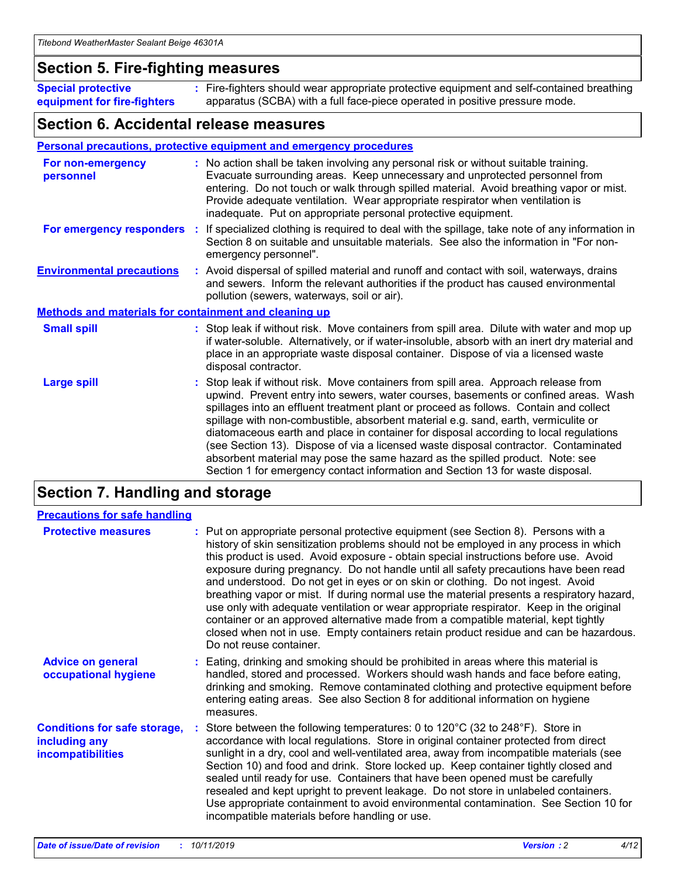### **Section 5. Fire-fighting measures**

**Special protective equipment for fire-fighters** Fire-fighters should wear appropriate protective equipment and self-contained breathing **:** apparatus (SCBA) with a full face-piece operated in positive pressure mode.

### **Section 6. Accidental release measures**

#### **Personal precautions, protective equipment and emergency procedures**

| For non-emergency<br>personnel                               | : No action shall be taken involving any personal risk or without suitable training.<br>Evacuate surrounding areas. Keep unnecessary and unprotected personnel from<br>entering. Do not touch or walk through spilled material. Avoid breathing vapor or mist.<br>Provide adequate ventilation. Wear appropriate respirator when ventilation is<br>inadequate. Put on appropriate personal protective equipment.                                                                                                                                                                                                                                                                                             |
|--------------------------------------------------------------|--------------------------------------------------------------------------------------------------------------------------------------------------------------------------------------------------------------------------------------------------------------------------------------------------------------------------------------------------------------------------------------------------------------------------------------------------------------------------------------------------------------------------------------------------------------------------------------------------------------------------------------------------------------------------------------------------------------|
|                                                              | For emergency responders : If specialized clothing is required to deal with the spillage, take note of any information in<br>Section 8 on suitable and unsuitable materials. See also the information in "For non-<br>emergency personnel".                                                                                                                                                                                                                                                                                                                                                                                                                                                                  |
| <b>Environmental precautions</b>                             | : Avoid dispersal of spilled material and runoff and contact with soil, waterways, drains<br>and sewers. Inform the relevant authorities if the product has caused environmental<br>pollution (sewers, waterways, soil or air).                                                                                                                                                                                                                                                                                                                                                                                                                                                                              |
| <b>Methods and materials for containment and cleaning up</b> |                                                                                                                                                                                                                                                                                                                                                                                                                                                                                                                                                                                                                                                                                                              |
| <b>Small spill</b>                                           | : Stop leak if without risk. Move containers from spill area. Dilute with water and mop up<br>if water-soluble. Alternatively, or if water-insoluble, absorb with an inert dry material and<br>place in an appropriate waste disposal container. Dispose of via a licensed waste<br>disposal contractor.                                                                                                                                                                                                                                                                                                                                                                                                     |
| <b>Large spill</b>                                           | : Stop leak if without risk. Move containers from spill area. Approach release from<br>upwind. Prevent entry into sewers, water courses, basements or confined areas. Wash<br>spillages into an effluent treatment plant or proceed as follows. Contain and collect<br>spillage with non-combustible, absorbent material e.g. sand, earth, vermiculite or<br>diatomaceous earth and place in container for disposal according to local regulations<br>(see Section 13). Dispose of via a licensed waste disposal contractor. Contaminated<br>absorbent material may pose the same hazard as the spilled product. Note: see<br>Section 1 for emergency contact information and Section 13 for waste disposal. |

## **Section 7. Handling and storage**

| <b>Precautions for safe handling</b>                                             |                                                                                                                                                                                                                                                                                                                                                                                                                                                                                                                                                                                                                                                                                                                                                                                                                                                  |
|----------------------------------------------------------------------------------|--------------------------------------------------------------------------------------------------------------------------------------------------------------------------------------------------------------------------------------------------------------------------------------------------------------------------------------------------------------------------------------------------------------------------------------------------------------------------------------------------------------------------------------------------------------------------------------------------------------------------------------------------------------------------------------------------------------------------------------------------------------------------------------------------------------------------------------------------|
| <b>Protective measures</b>                                                       | : Put on appropriate personal protective equipment (see Section 8). Persons with a<br>history of skin sensitization problems should not be employed in any process in which<br>this product is used. Avoid exposure - obtain special instructions before use. Avoid<br>exposure during pregnancy. Do not handle until all safety precautions have been read<br>and understood. Do not get in eyes or on skin or clothing. Do not ingest. Avoid<br>breathing vapor or mist. If during normal use the material presents a respiratory hazard,<br>use only with adequate ventilation or wear appropriate respirator. Keep in the original<br>container or an approved alternative made from a compatible material, kept tightly<br>closed when not in use. Empty containers retain product residue and can be hazardous.<br>Do not reuse container. |
| <b>Advice on general</b><br>occupational hygiene                                 | : Eating, drinking and smoking should be prohibited in areas where this material is<br>handled, stored and processed. Workers should wash hands and face before eating,<br>drinking and smoking. Remove contaminated clothing and protective equipment before<br>entering eating areas. See also Section 8 for additional information on hygiene<br>measures.                                                                                                                                                                                                                                                                                                                                                                                                                                                                                    |
| <b>Conditions for safe storage,</b><br>including any<br><b>incompatibilities</b> | Store between the following temperatures: 0 to 120 $^{\circ}$ C (32 to 248 $^{\circ}$ F). Store in<br>accordance with local regulations. Store in original container protected from direct<br>sunlight in a dry, cool and well-ventilated area, away from incompatible materials (see<br>Section 10) and food and drink. Store locked up. Keep container tightly closed and<br>sealed until ready for use. Containers that have been opened must be carefully<br>resealed and kept upright to prevent leakage. Do not store in unlabeled containers.<br>Use appropriate containment to avoid environmental contamination. See Section 10 for<br>incompatible materials before handling or use.                                                                                                                                                   |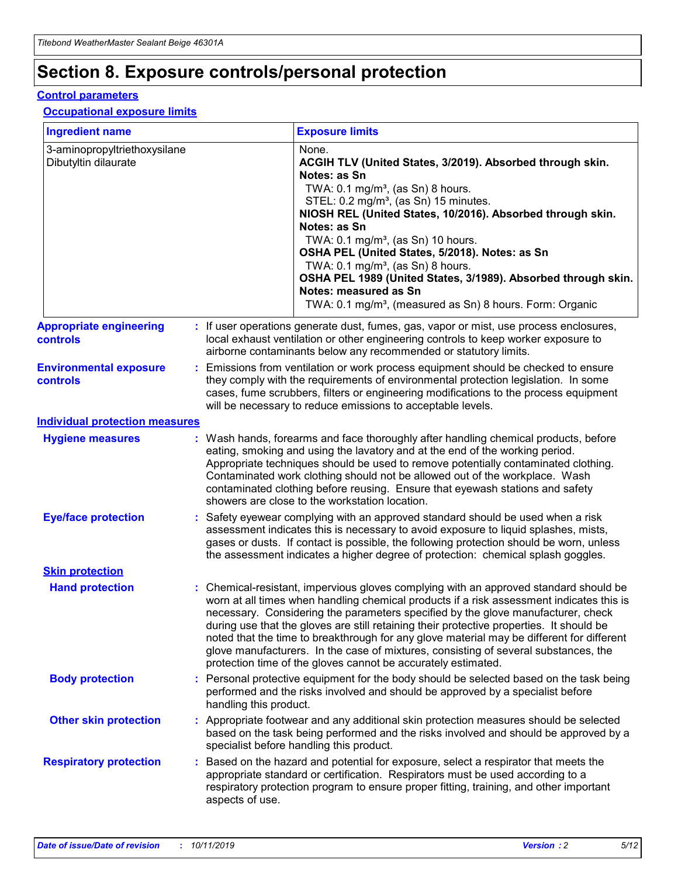## **Section 8. Exposure controls/personal protection**

#### **Control parameters**

### **Occupational exposure limits**

| <b>Ingredient name</b>                               |    |                                          | <b>Exposure limits</b>                                                                                                                                                                                                                                                                                                                                                                                                                                                                                                                                                                                                 |
|------------------------------------------------------|----|------------------------------------------|------------------------------------------------------------------------------------------------------------------------------------------------------------------------------------------------------------------------------------------------------------------------------------------------------------------------------------------------------------------------------------------------------------------------------------------------------------------------------------------------------------------------------------------------------------------------------------------------------------------------|
| 3-aminopropyltriethoxysilane<br>Dibutyltin dilaurate |    |                                          | None.<br>ACGIH TLV (United States, 3/2019). Absorbed through skin.<br>Notes: as Sn<br>TWA: 0.1 mg/m <sup>3</sup> , (as Sn) 8 hours.<br>STEL: 0.2 mg/m <sup>3</sup> , (as Sn) 15 minutes.<br>NIOSH REL (United States, 10/2016). Absorbed through skin.<br>Notes: as Sn<br>TWA: 0.1 mg/m <sup>3</sup> , (as Sn) 10 hours.<br>OSHA PEL (United States, 5/2018). Notes: as Sn<br>TWA: $0.1 \text{ mg/m}^3$ , (as Sn) 8 hours.<br>OSHA PEL 1989 (United States, 3/1989). Absorbed through skin.<br>Notes: measured as Sn<br>TWA: 0.1 mg/m <sup>3</sup> , (measured as Sn) 8 hours. Form: Organic                           |
| <b>Appropriate engineering</b><br>controls           |    |                                          | : If user operations generate dust, fumes, gas, vapor or mist, use process enclosures,<br>local exhaust ventilation or other engineering controls to keep worker exposure to<br>airborne contaminants below any recommended or statutory limits.                                                                                                                                                                                                                                                                                                                                                                       |
| <b>Environmental exposure</b><br><b>controls</b>     |    |                                          | Emissions from ventilation or work process equipment should be checked to ensure<br>they comply with the requirements of environmental protection legislation. In some<br>cases, fume scrubbers, filters or engineering modifications to the process equipment<br>will be necessary to reduce emissions to acceptable levels.                                                                                                                                                                                                                                                                                          |
| <b>Individual protection measures</b>                |    |                                          |                                                                                                                                                                                                                                                                                                                                                                                                                                                                                                                                                                                                                        |
| <b>Hygiene measures</b>                              |    |                                          | : Wash hands, forearms and face thoroughly after handling chemical products, before<br>eating, smoking and using the lavatory and at the end of the working period.<br>Appropriate techniques should be used to remove potentially contaminated clothing.<br>Contaminated work clothing should not be allowed out of the workplace. Wash<br>contaminated clothing before reusing. Ensure that eyewash stations and safety<br>showers are close to the workstation location.                                                                                                                                            |
| <b>Eye/face protection</b>                           |    |                                          | : Safety eyewear complying with an approved standard should be used when a risk<br>assessment indicates this is necessary to avoid exposure to liquid splashes, mists,<br>gases or dusts. If contact is possible, the following protection should be worn, unless<br>the assessment indicates a higher degree of protection: chemical splash goggles.                                                                                                                                                                                                                                                                  |
| <b>Skin protection</b>                               |    |                                          |                                                                                                                                                                                                                                                                                                                                                                                                                                                                                                                                                                                                                        |
| <b>Hand protection</b>                               |    |                                          | : Chemical-resistant, impervious gloves complying with an approved standard should be<br>worn at all times when handling chemical products if a risk assessment indicates this is<br>necessary. Considering the parameters specified by the glove manufacturer, check<br>during use that the gloves are still retaining their protective properties. It should be<br>noted that the time to breakthrough for any glove material may be different for different<br>glove manufacturers. In the case of mixtures, consisting of several substances, the<br>protection time of the gloves cannot be accurately estimated. |
| <b>Body protection</b>                               |    | handling this product.                   | Personal protective equipment for the body should be selected based on the task being<br>performed and the risks involved and should be approved by a specialist before                                                                                                                                                                                                                                                                                                                                                                                                                                                |
| <b>Other skin protection</b>                         |    | specialist before handling this product. | : Appropriate footwear and any additional skin protection measures should be selected<br>based on the task being performed and the risks involved and should be approved by a                                                                                                                                                                                                                                                                                                                                                                                                                                          |
| <b>Respiratory protection</b>                        | ÷. | aspects of use.                          | Based on the hazard and potential for exposure, select a respirator that meets the<br>appropriate standard or certification. Respirators must be used according to a<br>respiratory protection program to ensure proper fitting, training, and other important                                                                                                                                                                                                                                                                                                                                                         |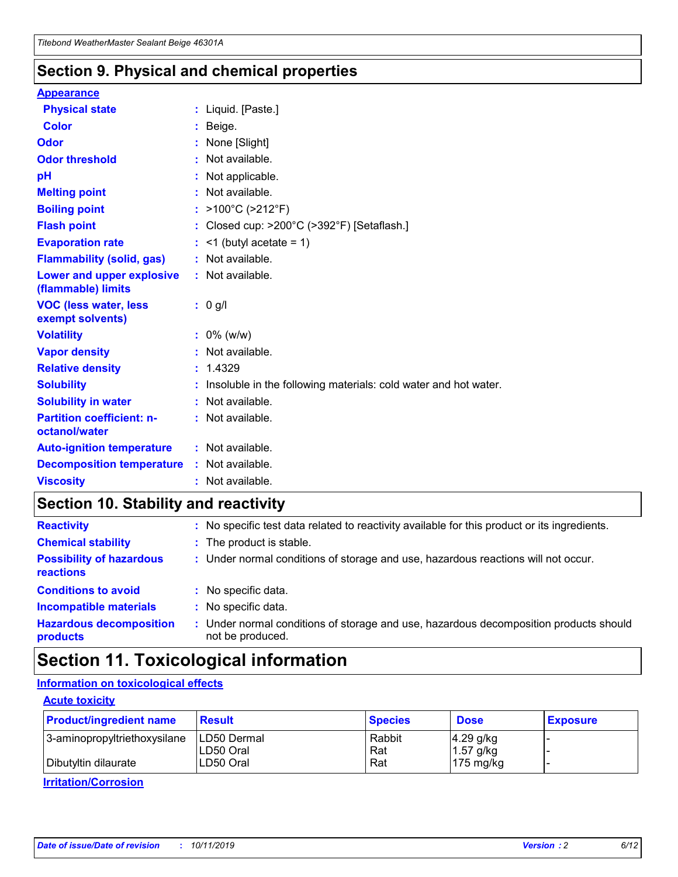### **Section 9. Physical and chemical properties**

#### **Appearance**

| <b>Physical state</b>                             | : Liquid. [Paste.]                                              |
|---------------------------------------------------|-----------------------------------------------------------------|
| Color                                             | Beige.                                                          |
| Odor                                              | None [Slight]                                                   |
| <b>Odor threshold</b>                             | : Not available.                                                |
| рH                                                | : Not applicable.                                               |
| <b>Melting point</b>                              | : Not available.                                                |
| <b>Boiling point</b>                              | : >100°C (>212°F)                                               |
| <b>Flash point</b>                                | : Closed cup: $>200^{\circ}$ C ( $>392^{\circ}$ F) [Setaflash.] |
| <b>Evaporation rate</b>                           | $:$ <1 (butyl acetate = 1)                                      |
| <b>Flammability (solid, gas)</b>                  | : Not available.                                                |
| Lower and upper explosive<br>(flammable) limits   | : Not available.                                                |
| <b>VOC (less water, less</b><br>exempt solvents)  | : 0 g/l                                                         |
| <b>Volatility</b>                                 | $: 0\%$ (w/w)                                                   |
| <b>Vapor density</b>                              | : Not available.                                                |
| <b>Relative density</b>                           | : 1.4329                                                        |
| <b>Solubility</b>                                 | Insoluble in the following materials: cold water and hot water. |
| <b>Solubility in water</b>                        | : Not available.                                                |
| <b>Partition coefficient: n-</b><br>octanol/water | $:$ Not available.                                              |
| <b>Auto-ignition temperature</b>                  | : Not available.                                                |
|                                                   |                                                                 |
| <b>Decomposition temperature</b>                  | : Not available.                                                |

## **Section 10. Stability and reactivity**

| <b>Reactivity</b>                            |    | : No specific test data related to reactivity available for this product or its ingredients.            |
|----------------------------------------------|----|---------------------------------------------------------------------------------------------------------|
| <b>Chemical stability</b>                    |    | : The product is stable.                                                                                |
| <b>Possibility of hazardous</b><br>reactions |    | : Under normal conditions of storage and use, hazardous reactions will not occur.                       |
| <b>Conditions to avoid</b>                   |    | : No specific data.                                                                                     |
| <b>Incompatible materials</b>                | ٠. | No specific data.                                                                                       |
| <b>Hazardous decomposition</b><br>products   | ÷. | Under normal conditions of storage and use, hazardous decomposition products should<br>not be produced. |

## **Section 11. Toxicological information**

### **Information on toxicological effects**

### **Acute toxicity**

| <b>Product/ingredient name</b> | <b>Result</b>           | <b>Species</b> | <b>Dose</b>                | <b>Exposure</b> |
|--------------------------------|-------------------------|----------------|----------------------------|-----------------|
| 3-aminopropyltriethoxysilane   | <b>ILD50 Dermal</b>     | Rabbit         | 4.29 g/kg                  |                 |
| Dibutyltin dilaurate           | ILD50 Oral<br>LD50 Oral | Rat<br>Rat     | $1.57$ g/kg<br>175 $mg/kg$ |                 |
|                                |                         |                |                            |                 |

**Irritation/Corrosion**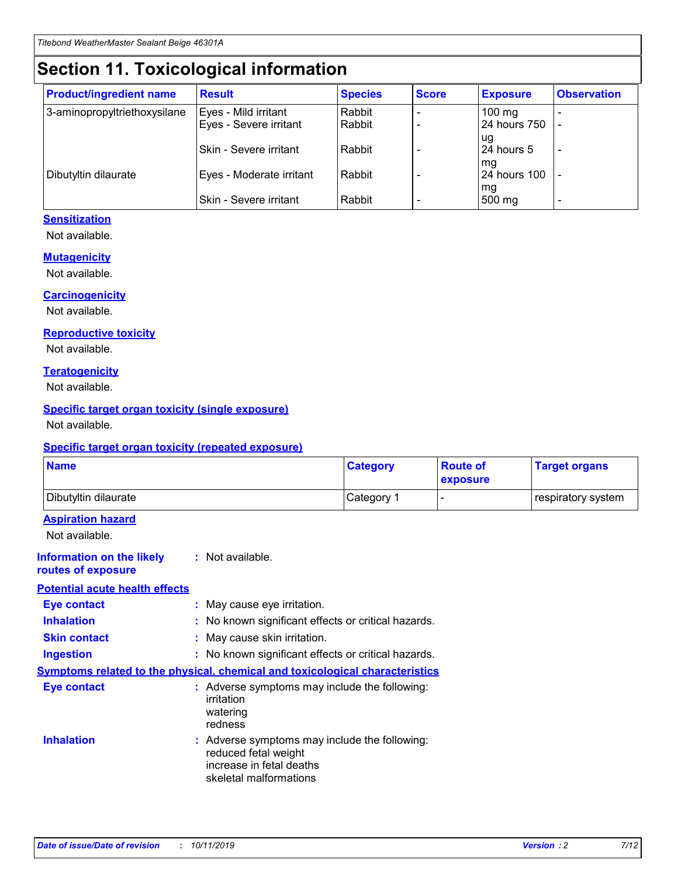## **Section 11. Toxicological information**

| <b>Product/ingredient name</b> | <b>Result</b>            | <b>Species</b> | <b>Score</b> | <b>Exposure</b>           | <b>Observation</b> |
|--------------------------------|--------------------------|----------------|--------------|---------------------------|--------------------|
| 3-aminopropyltriethoxysilane   | Eyes - Mild irritant     | Rabbit         |              | $100$ mg                  |                    |
|                                | Eyes - Severe irritant   | Rabbit         |              | 24 hours 750              |                    |
|                                |                          |                |              | ug                        |                    |
|                                | Skin - Severe irritant   | Rabbit         |              | 24 hours 5                | -                  |
| Dibutyltin dilaurate           | Eyes - Moderate irritant | Rabbit         |              | mg<br><b>24 hours 100</b> |                    |
|                                |                          |                |              | mg                        |                    |
|                                | Skin - Severe irritant   | Rabbit         |              | 500 mg                    | -                  |

### **Sensitization**

Not available.

#### **Mutagenicity**

Not available.

#### **Carcinogenicity**

Not available.

#### **Reproductive toxicity**

Not available.

#### **Teratogenicity**

Not available.

#### **Specific target organ toxicity (single exposure)**

Not available.

#### **Specific target organ toxicity (repeated exposure)**

| <b>Name</b>                                                                  |                                                                                                                             | <b>Category</b> | <b>Route of</b><br>exposure  | <b>Target organs</b> |
|------------------------------------------------------------------------------|-----------------------------------------------------------------------------------------------------------------------------|-----------------|------------------------------|----------------------|
| Dibutyltin dilaurate                                                         |                                                                                                                             | Category 1      | $\qquad \qquad \blacksquare$ | respiratory system   |
| <b>Aspiration hazard</b><br>Not available.                                   |                                                                                                                             |                 |                              |                      |
| <b>Information on the likely</b><br>routes of exposure                       | : Not available.                                                                                                            |                 |                              |                      |
| <b>Potential acute health effects</b>                                        |                                                                                                                             |                 |                              |                      |
| <b>Eye contact</b>                                                           | : May cause eye irritation.                                                                                                 |                 |                              |                      |
| <b>Inhalation</b>                                                            | : No known significant effects or critical hazards.                                                                         |                 |                              |                      |
| <b>Skin contact</b>                                                          | : May cause skin irritation.                                                                                                |                 |                              |                      |
| <b>Ingestion</b>                                                             | : No known significant effects or critical hazards.                                                                         |                 |                              |                      |
| Symptoms related to the physical, chemical and toxicological characteristics |                                                                                                                             |                 |                              |                      |
| <b>Eye contact</b>                                                           | : Adverse symptoms may include the following:<br>irritation<br>watering<br>redness                                          |                 |                              |                      |
| <b>Inhalation</b>                                                            | : Adverse symptoms may include the following:<br>reduced fetal weight<br>increase in fetal deaths<br>skeletal malformations |                 |                              |                      |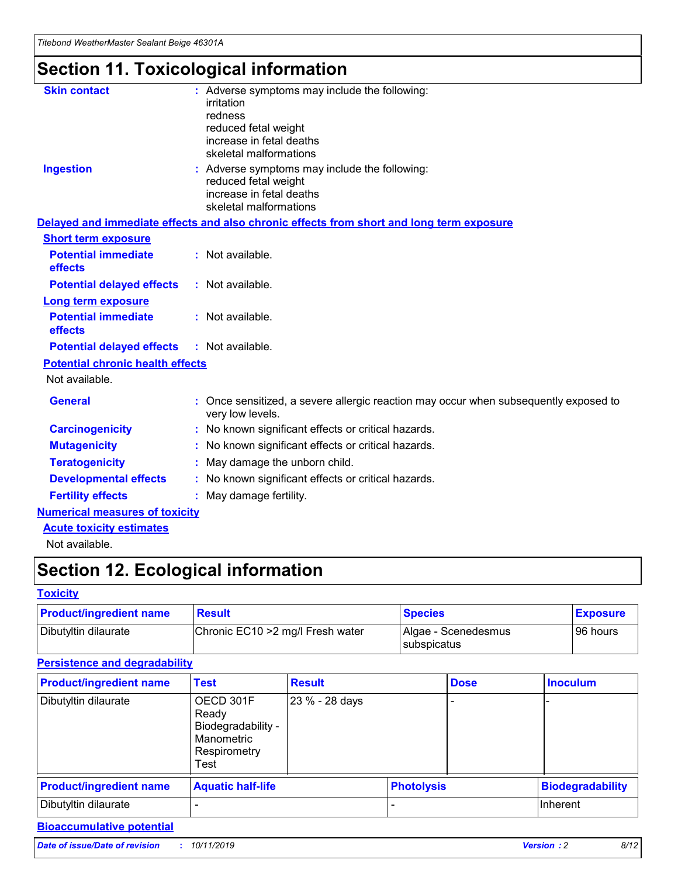# **Section 11. Toxicological information**

| <b>Skin contact</b>                     | : Adverse symptoms may include the following:                                                            |
|-----------------------------------------|----------------------------------------------------------------------------------------------------------|
|                                         | irritation                                                                                               |
|                                         | redness                                                                                                  |
|                                         | reduced fetal weight                                                                                     |
|                                         | increase in fetal deaths                                                                                 |
|                                         | skeletal malformations                                                                                   |
| <b>Ingestion</b>                        | : Adverse symptoms may include the following:                                                            |
|                                         | reduced fetal weight                                                                                     |
|                                         | increase in fetal deaths                                                                                 |
|                                         | skeletal malformations                                                                                   |
|                                         | Delayed and immediate effects and also chronic effects from short and long term exposure                 |
| <b>Short term exposure</b>              |                                                                                                          |
| <b>Potential immediate</b>              | : Not available.                                                                                         |
| effects                                 |                                                                                                          |
| <b>Potential delayed effects</b>        | : Not available.                                                                                         |
| Long term exposure                      |                                                                                                          |
| <b>Potential immediate</b>              | : Not available.                                                                                         |
| effects                                 |                                                                                                          |
| <b>Potential delayed effects</b>        | : Not available.                                                                                         |
| <b>Potential chronic health effects</b> |                                                                                                          |
| Not available.                          |                                                                                                          |
| <b>General</b>                          | : Once sensitized, a severe allergic reaction may occur when subsequently exposed to<br>very low levels. |
| <b>Carcinogenicity</b>                  | : No known significant effects or critical hazards.                                                      |
| <b>Mutagenicity</b>                     | : No known significant effects or critical hazards.                                                      |
| <b>Teratogenicity</b>                   | May damage the unborn child.                                                                             |
| <b>Developmental effects</b>            | : No known significant effects or critical hazards.                                                      |
| <b>Fertility effects</b>                | May damage fertility.                                                                                    |
| <b>Numerical measures of toxicity</b>   |                                                                                                          |
| <b>Acute toxicity estimates</b>         |                                                                                                          |
| الملمانة المستنقط فالمرابط              |                                                                                                          |

Not available.

## **Section 12. Ecological information**

#### **Toxicity**

| <b>Product/ingredient name</b> | <b>Result</b>                     | <b>Species</b>                       | <b>Exposure</b> |
|--------------------------------|-----------------------------------|--------------------------------------|-----------------|
| Dibutyltin dilaurate           | Chronic EC10 > 2 mg/l Fresh water | Algae - Scenedesmus<br>I subspicatus | l 96 hours i    |

### **Persistence and degradability**

| <b>Product/ingredient name</b> | <b>Test</b>                                                                    | <b>Result</b>  |                   | <b>Dose</b> | <b>Inoculum</b>         |
|--------------------------------|--------------------------------------------------------------------------------|----------------|-------------------|-------------|-------------------------|
| Dibutyltin dilaurate           | OECD 301F<br>Ready<br>Biodegradability -<br>Manometric<br>Respirometry<br>Test | 23 % - 28 days |                   |             |                         |
| <b>Product/ingredient name</b> | <b>Aquatic half-life</b>                                                       |                | <b>Photolysis</b> |             | <b>Biodegradability</b> |
| Dibutyltin dilaurate           |                                                                                |                |                   |             | Inherent                |

### **Bioaccumulative potential**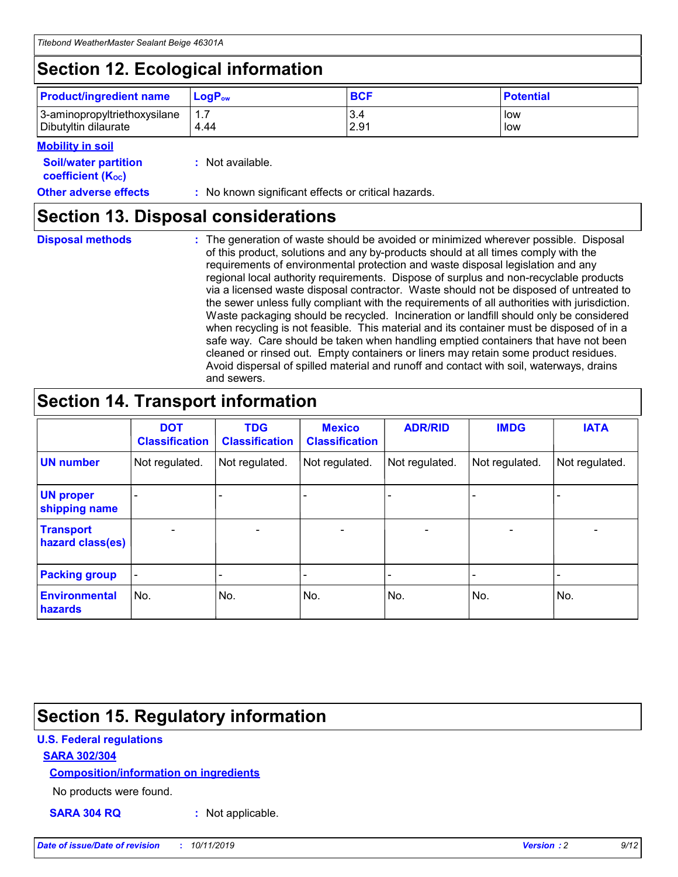## **Section 12. Ecological information**

| <b>Product/ingredient name</b> | $LoaPow$ | <b>BCF</b> | <b>Potential</b> |
|--------------------------------|----------|------------|------------------|
| 3-aminopropyltriethoxysilane   | 1.7      | 3.4        | low              |
| Dibutyltin dilaurate           | 4.44     | 2.91       | low              |

### **Mobility in soil**

| <i></i>                                                       |                                                     |
|---------------------------------------------------------------|-----------------------------------------------------|
| <b>Soil/water partition</b><br>coefficient (K <sub>oc</sub> ) | : Not available.                                    |
| <b>Other adverse effects</b>                                  | : No known significant effects or critical hazards. |

### **Section 13. Disposal considerations**

**Disposal methods :**

The generation of waste should be avoided or minimized wherever possible. Disposal of this product, solutions and any by-products should at all times comply with the requirements of environmental protection and waste disposal legislation and any regional local authority requirements. Dispose of surplus and non-recyclable products via a licensed waste disposal contractor. Waste should not be disposed of untreated to the sewer unless fully compliant with the requirements of all authorities with jurisdiction. Waste packaging should be recycled. Incineration or landfill should only be considered when recycling is not feasible. This material and its container must be disposed of in a safe way. Care should be taken when handling emptied containers that have not been cleaned or rinsed out. Empty containers or liners may retain some product residues. Avoid dispersal of spilled material and runoff and contact with soil, waterways, drains and sewers.

## **Section 14. Transport information**

|                                      | <b>DOT</b><br><b>Classification</b> | <b>TDG</b><br><b>Classification</b> | <b>Mexico</b><br><b>Classification</b> | <b>ADR/RID</b> | <b>IMDG</b>              | <b>IATA</b>              |
|--------------------------------------|-------------------------------------|-------------------------------------|----------------------------------------|----------------|--------------------------|--------------------------|
| <b>UN number</b>                     | Not regulated.                      | Not regulated.                      | Not regulated.                         | Not regulated. | Not regulated.           | Not regulated.           |
| <b>UN proper</b><br>shipping name    | $\blacksquare$                      |                                     |                                        |                |                          |                          |
| <b>Transport</b><br>hazard class(es) | $\blacksquare$                      | $\overline{\phantom{a}}$            | $\blacksquare$                         | $\blacksquare$ | $\overline{\phantom{a}}$ | $\overline{\phantom{0}}$ |
| <b>Packing group</b>                 | $\overline{\phantom{a}}$            | $\overline{\phantom{0}}$            | $\overline{\phantom{a}}$               | -              | $\overline{\phantom{0}}$ | $\overline{\phantom{a}}$ |
| <b>Environmental</b><br>hazards      | No.                                 | No.                                 | No.                                    | No.            | No.                      | No.                      |

## **Section 15. Regulatory information**

### **U.S. Federal regulations**

### **SARA 302/304**

### **Composition/information on ingredients**

No products were found.

**SARA 304 RQ :** Not applicable.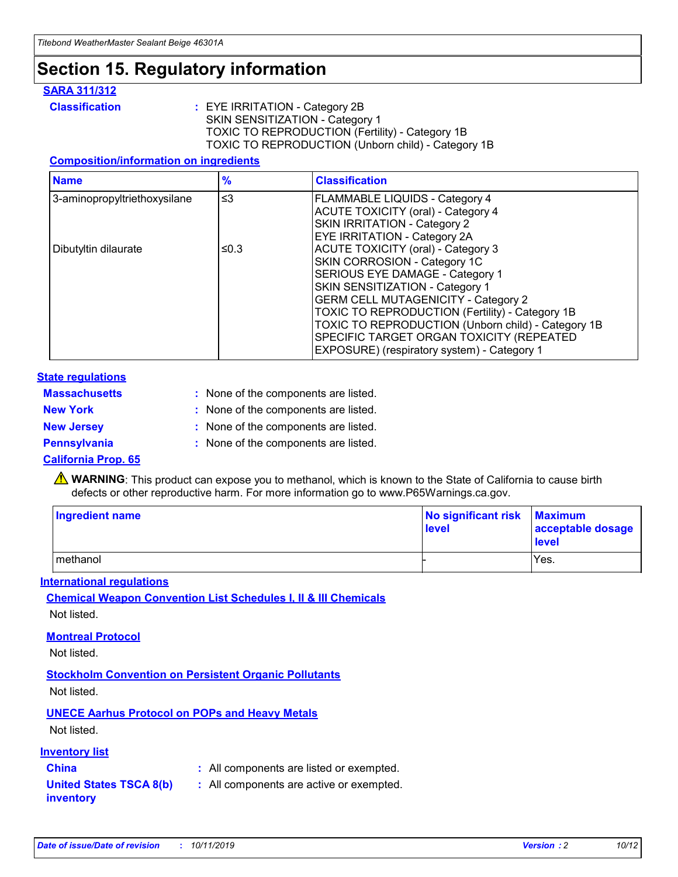## **Section 15. Regulatory information**

### **SARA 311/312**

**Classification :** EYE IRRITATION - Category 2B SKIN SENSITIZATION - Category 1 TOXIC TO REPRODUCTION (Fertility) - Category 1B TOXIC TO REPRODUCTION (Unborn child) - Category 1B

#### **Composition/information on ingredients**

| <b>Name</b>                  | $\frac{9}{6}$ | <b>Classification</b>                                                                                            |
|------------------------------|---------------|------------------------------------------------------------------------------------------------------------------|
| 3-aminopropyltriethoxysilane | $\leq$ 3      | <b>FLAMMABLE LIQUIDS - Category 4</b><br><b>ACUTE TOXICITY (oral) - Category 4</b>                               |
|                              |               | SKIN IRRITATION - Category 2<br>EYE IRRITATION - Category 2A                                                     |
| Dibutyltin dilaurate         | ≤0.3          | ACUTE TOXICITY (oral) - Category 3<br>SKIN CORROSION - Category 1C                                               |
|                              |               | SERIOUS EYE DAMAGE - Category 1<br>SKIN SENSITIZATION - Category 1<br><b>GERM CELL MUTAGENICITY - Category 2</b> |
|                              |               | TOXIC TO REPRODUCTION (Fertility) - Category 1B<br>TOXIC TO REPRODUCTION (Unborn child) - Category 1B            |
|                              |               | SPECIFIC TARGET ORGAN TOXICITY (REPEATED<br>EXPOSURE) (respiratory system) - Category 1                          |

#### **State regulations**

| <b>Massachusetts</b> | : None of the components are listed. |
|----------------------|--------------------------------------|
| <b>New York</b>      | : None of the components are listed. |
| <b>New Jersey</b>    | : None of the components are listed. |
| <b>Pennsylvania</b>  | : None of the components are listed. |

#### **California Prop. 65**

**A** WARNING: This product can expose you to methanol, which is known to the State of California to cause birth defects or other reproductive harm. For more information go to www.P65Warnings.ca.gov.

| <b>Ingredient name</b> | No significant risk Maximum<br>level | acceptable dosage<br>level |
|------------------------|--------------------------------------|----------------------------|
| methanol               |                                      | Yes.                       |

#### **International regulations**

**Chemical Weapon Convention List Schedules I, II & III Chemicals** Not listed.

#### **Montreal Protocol**

Not listed.

**Stockholm Convention on Persistent Organic Pollutants**

Not listed.

### **UNECE Aarhus Protocol on POPs and Heavy Metals**

Not listed.

### **Inventory list**

### **China :** All components are listed or exempted.

**United States TSCA 8(b) inventory :** All components are active or exempted.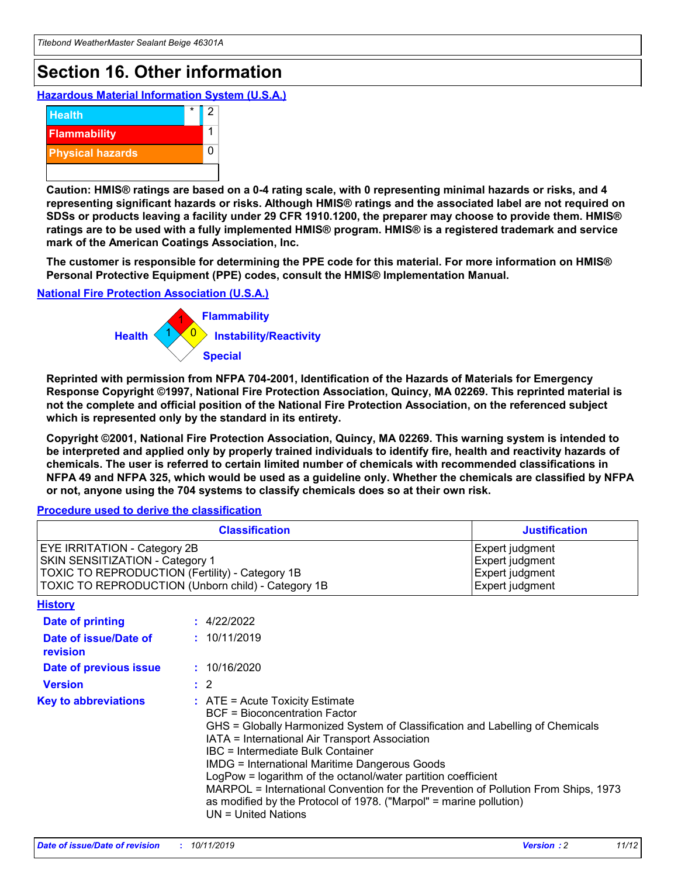## **Section 16. Other information**

**Hazardous Material Information System (U.S.A.)**



**Caution: HMIS® ratings are based on a 0-4 rating scale, with 0 representing minimal hazards or risks, and 4 representing significant hazards or risks. Although HMIS® ratings and the associated label are not required on SDSs or products leaving a facility under 29 CFR 1910.1200, the preparer may choose to provide them. HMIS® ratings are to be used with a fully implemented HMIS® program. HMIS® is a registered trademark and service mark of the American Coatings Association, Inc.**

**The customer is responsible for determining the PPE code for this material. For more information on HMIS® Personal Protective Equipment (PPE) codes, consult the HMIS® Implementation Manual.**

#### **National Fire Protection Association (U.S.A.)**



**Reprinted with permission from NFPA 704-2001, Identification of the Hazards of Materials for Emergency Response Copyright ©1997, National Fire Protection Association, Quincy, MA 02269. This reprinted material is not the complete and official position of the National Fire Protection Association, on the referenced subject which is represented only by the standard in its entirety.**

**Copyright ©2001, National Fire Protection Association, Quincy, MA 02269. This warning system is intended to be interpreted and applied only by properly trained individuals to identify fire, health and reactivity hazards of chemicals. The user is referred to certain limited number of chemicals with recommended classifications in NFPA 49 and NFPA 325, which would be used as a guideline only. Whether the chemicals are classified by NFPA or not, anyone using the 704 systems to classify chemicals does so at their own risk.**

**Procedure used to derive the classification**

| <b>Classification</b>                                                                                                                                                    |                                                                                                                                                  | <b>Justification</b>                                                                                                                                                                                                                                                                                                                                                                                                 |  |
|--------------------------------------------------------------------------------------------------------------------------------------------------------------------------|--------------------------------------------------------------------------------------------------------------------------------------------------|----------------------------------------------------------------------------------------------------------------------------------------------------------------------------------------------------------------------------------------------------------------------------------------------------------------------------------------------------------------------------------------------------------------------|--|
| EYE IRRITATION - Category 2B<br>SKIN SENSITIZATION - Category 1<br>TOXIC TO REPRODUCTION (Fertility) - Category 1B<br>TOXIC TO REPRODUCTION (Unborn child) - Category 1B |                                                                                                                                                  | Expert judgment<br>Expert judgment<br>Expert judgment<br>Expert judgment                                                                                                                                                                                                                                                                                                                                             |  |
| <b>History</b>                                                                                                                                                           |                                                                                                                                                  |                                                                                                                                                                                                                                                                                                                                                                                                                      |  |
| Date of printing                                                                                                                                                         | : 4/22/2022                                                                                                                                      |                                                                                                                                                                                                                                                                                                                                                                                                                      |  |
| Date of issue/Date of<br>revision                                                                                                                                        | : 10/11/2019                                                                                                                                     |                                                                                                                                                                                                                                                                                                                                                                                                                      |  |
| Date of previous issue                                                                                                                                                   | : 10/16/2020                                                                                                                                     |                                                                                                                                                                                                                                                                                                                                                                                                                      |  |
| <b>Version</b>                                                                                                                                                           | $\therefore$ 2                                                                                                                                   |                                                                                                                                                                                                                                                                                                                                                                                                                      |  |
| <b>Key to abbreviations</b>                                                                                                                                              | $\therefore$ ATE = Acute Toxicity Estimate<br><b>BCF</b> = Bioconcentration Factor<br>IBC = Intermediate Bulk Container<br>$UN = United Nations$ | GHS = Globally Harmonized System of Classification and Labelling of Chemicals<br>IATA = International Air Transport Association<br><b>IMDG = International Maritime Dangerous Goods</b><br>LogPow = logarithm of the octanol/water partition coefficient<br>MARPOL = International Convention for the Prevention of Pollution From Ships, 1973<br>as modified by the Protocol of 1978. ("Marpol" = marine pollution) |  |